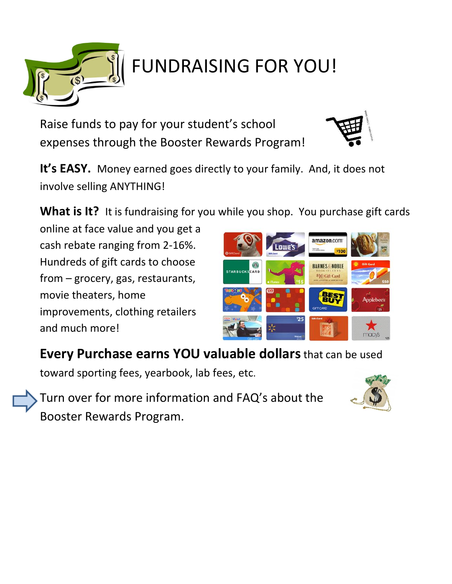

## FUNDRAISING FOR YOU!

Raise funds to pay for your student's school expenses through the Booster Rewards Program!



**It's EASY.** Money earned goes directly to your family. And, it does not involve selling ANYTHING!

**What is It?** It is fundraising for you while you shop. You purchase gift cards

online at face value and you get a cash rebate ranging from 2-16%. Hundreds of gift cards to choose from – grocery, gas, restaurants, movie theaters, home improvements, clothing retailers and much more!



## **Every Purchase earns YOU valuable dollars**that can be used

toward sporting fees, yearbook, lab fees, etc.

Turn over for more information and FAQ's about the Booster Rewards Program.